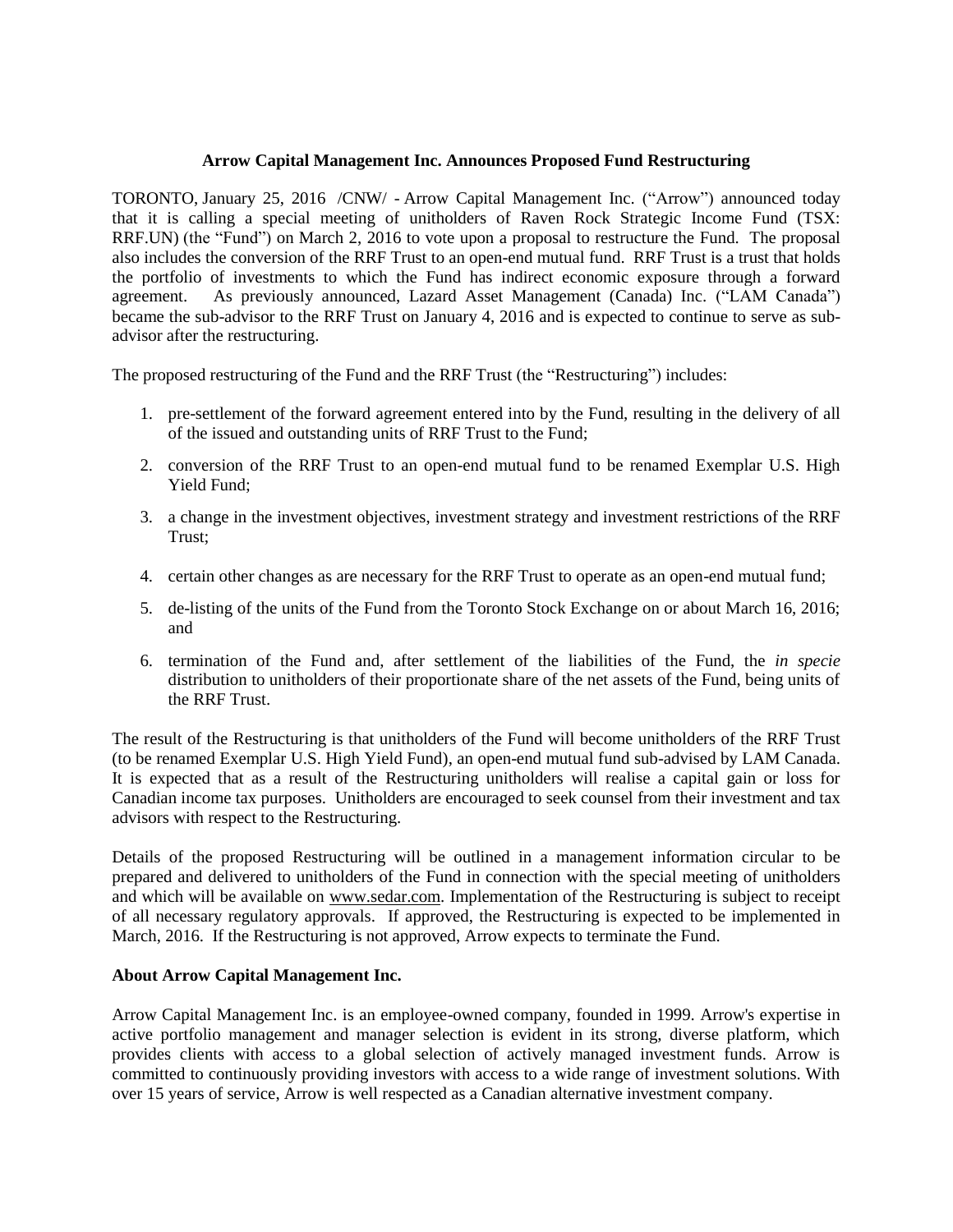### **Arrow Capital Management Inc. Announces Proposed Fund Restructuring**

TORONTO, January 25, 2016 /CNW/ - Arrow Capital Management Inc. ("Arrow") announced today that it is calling a special meeting of unitholders of Raven Rock Strategic Income Fund (TSX: RRF.UN) (the "Fund") on March 2, 2016 to vote upon a proposal to restructure the Fund. The proposal also includes the conversion of the RRF Trust to an open-end mutual fund. RRF Trust is a trust that holds the portfolio of investments to which the Fund has indirect economic exposure through a forward agreement. As previously announced, Lazard Asset Management (Canada) Inc. ("LAM Canada") became the sub-advisor to the RRF Trust on January 4, 2016 and is expected to continue to serve as subadvisor after the restructuring.

The proposed restructuring of the Fund and the RRF Trust (the "Restructuring") includes:

- 1. pre-settlement of the forward agreement entered into by the Fund, resulting in the delivery of all of the issued and outstanding units of RRF Trust to the Fund;
- 2. conversion of the RRF Trust to an open-end mutual fund to be renamed Exemplar U.S. High Yield Fund;
- 3. a change in the investment objectives, investment strategy and investment restrictions of the RRF Trust;
- 4. certain other changes as are necessary for the RRF Trust to operate as an open-end mutual fund;
- 5. de-listing of the units of the Fund from the Toronto Stock Exchange on or about March 16, 2016; and
- 6. termination of the Fund and, after settlement of the liabilities of the Fund, the *in specie* distribution to unitholders of their proportionate share of the net assets of the Fund, being units of the RRF Trust.

The result of the Restructuring is that unitholders of the Fund will become unitholders of the RRF Trust (to be renamed Exemplar U.S. High Yield Fund), an open-end mutual fund sub-advised by LAM Canada. It is expected that as a result of the Restructuring unitholders will realise a capital gain or loss for Canadian income tax purposes. Unitholders are encouraged to seek counsel from their investment and tax advisors with respect to the Restructuring.

Details of the proposed Restructuring will be outlined in a management information circular to be prepared and delivered to unitholders of the Fund in connection with the special meeting of unitholders and which will be available on [www.sedar.com.](http://www.sedar.com/) Implementation of the Restructuring is subject to receipt of all necessary regulatory approvals. If approved, the Restructuring is expected to be implemented in March, 2016. If the Restructuring is not approved, Arrow expects to terminate the Fund.

# **About Arrow Capital Management Inc.**

Arrow Capital Management Inc. is an employee-owned company, founded in 1999. Arrow's expertise in active portfolio management and manager selection is evident in its strong, diverse platform, which provides clients with access to a global selection of actively managed investment funds. Arrow is committed to continuously providing investors with access to a wide range of investment solutions. With over 15 years of service, Arrow is well respected as a Canadian alternative investment company.